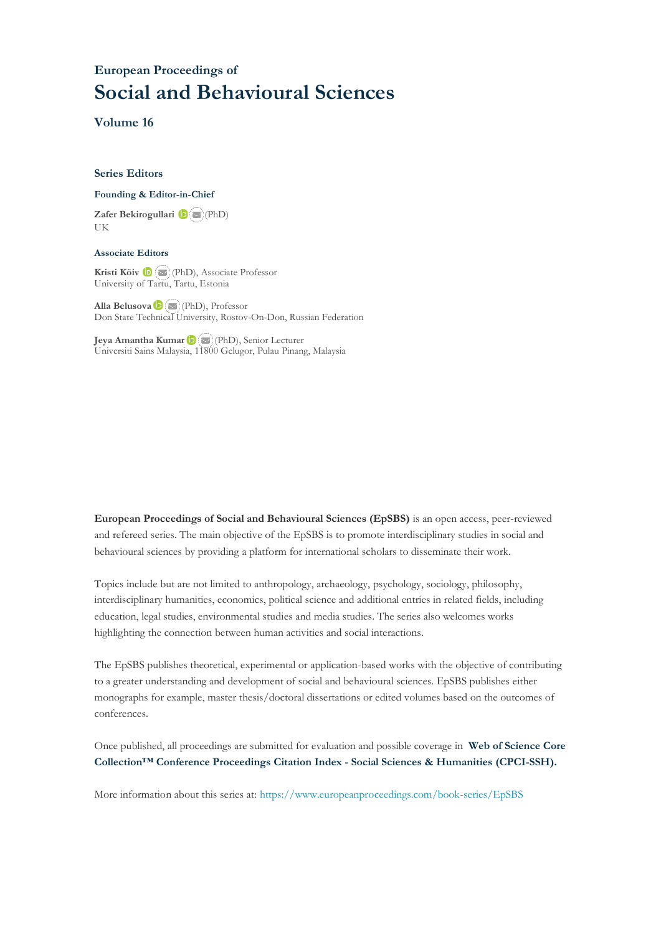### **European Proceedings of Social and Behavioural Sciences**

**Volume 16**

#### **Series Editors**

#### **Founding & Editor-in-Chief**

**Zafer Bekirogullari**(PhD) UK

#### **Associate Editors**

**Kristi Köiv** (PhD), Associate Professor University of Tartu, Tartu, Estonia

**Alla Belusova**(PhD), Professor Don State Technical University, Rostov-On-Don, Russian Federation

**Jeya Amantha Kumar**(PhD), Senior Lecturer Universiti Sains Malaysia, [1180](mailto:amantha@usm.my)0 Gelugor, Pulau Pinang, Malaysia

**European Proceedings of Social and Behavioural Sciences (EpSBS)** is an open access, peer-reviewed and refereed series. The main objective of the EpSBS is to promote interdisciplinary studies in social and behavioural sciences by providing a platform for international scholars to disseminate their work.

Topics include but are not limited to anthropology, archaeology, psychology, sociology, philosophy, interdisciplinary humanities, economics, political science and additional entries in related fields, including education, legal studies, environmental studies and media studies. The series also welcomes works highlighting the connection between human activities and social interactions.

The EpSBS publishes theoretical, experimental or application-based works with the objective of contributing to a greater understanding and development of social and behavioural sciences. EpSBS publishes either monographs for example, master thesis/doctoral dissertations or edited volumes based on the outcomes of conferences.

Once published, all proceedings are submitted for evaluation and possible coverage in **Web of [Science](https://clarivate.com/webofsciencegroup/solutions/webofscience-cpci/) Core Collection™ Conference Proceedings Citation Index - Social Sciences & Humanities [\(CPCI-SSH\).](https://clarivate.com/webofsciencegroup/solutions/webofscience-cpci/)**

More information about this series at[: https://www.europeanproceedings.com/book-series/EpSBS](https://www.europeanproceedings.com/book-series/EpSBS)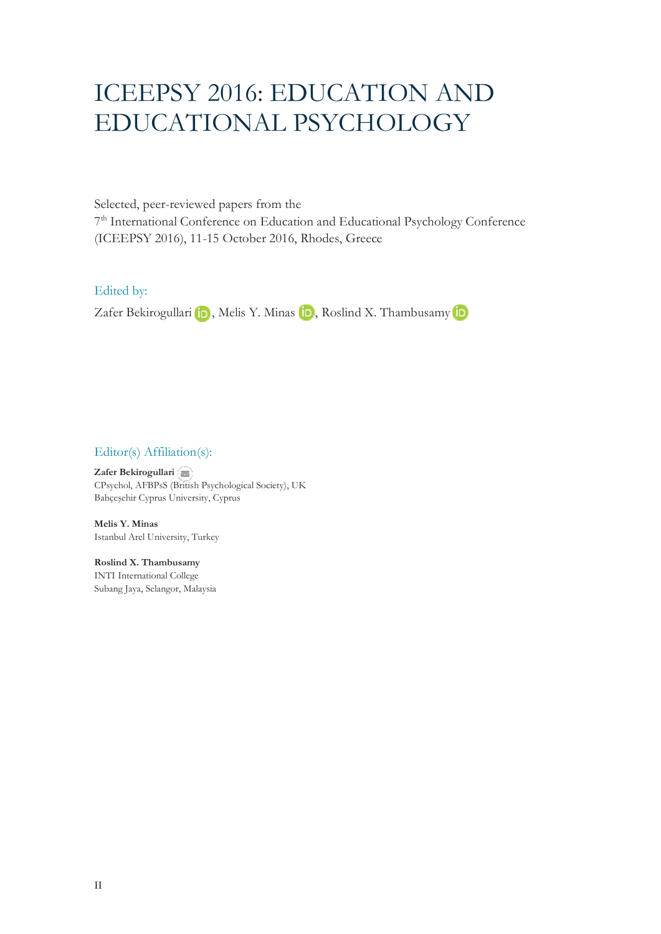# ICEEPSY 2016: EDUCATION AND EDUCATIONAL PSYCHOLOGY

Selected, peer-reviewed papers from the

7<sup>th</sup> International Conference on Education and Educational Psychology Conference (ICEEPSY 2016), 11-15 October 2016, Rhodes, Greece

Edited by:

ZaferBekirogullari **in**, Melis Y. Minas **in**, Roslind X. Thambusamy in

Editor(s) Affiliation(s):

**Zafer Bekirogullari**  CPsychol, AFBPsS ([Britis](mailto:zafer.bekirogullari@cyprus.bau.edu.tr)h Psychological Society), UK Bahçeşehir Cyprus University, Cyprus

**Melis Y. Minas** Istanbul Arel University, Turkey

**Roslind X. Thambusamy**  INTI International College Subang Jaya, Selangor, Malaysia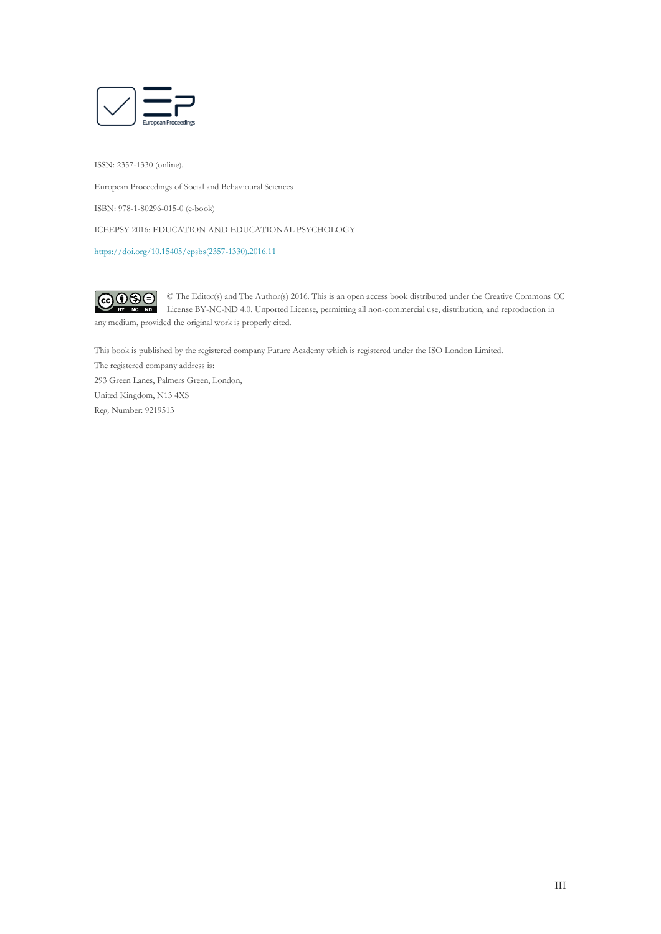

ISSN: 2357-1330 (online).

European Proceedings of Social and Behavioural Sciences

ISBN: 978-1-80296-015-0 (e-book)

ICEEPSY 2016: EDUCATION AND EDUCATIONAL PSYCHOLOGY

[https://doi.org/10.15405/epsbs\(2357-1330\).2016.11](https://doi.org/10.15405/epsbs(2357-1330).2016.11)

 $\bigodot_{BV} \bigodot_{NC} \bigodot_{ND}$ © The Editor(s) and The Author(s) 2016. This is an open access book distributed under the Creative Commons CC License BY-NC-ND 4.0. Unported License, permitting all non-commercial use, distribution, and reproduction in any medium, provided the original work is properly cited.

This book is published by the registered company Future Academy which is registered under the ISO London Limited.

The registered company address is: 293 Green Lanes, Palmers Green, London, United Kingdom, N13 4XS Reg. Number: 9219513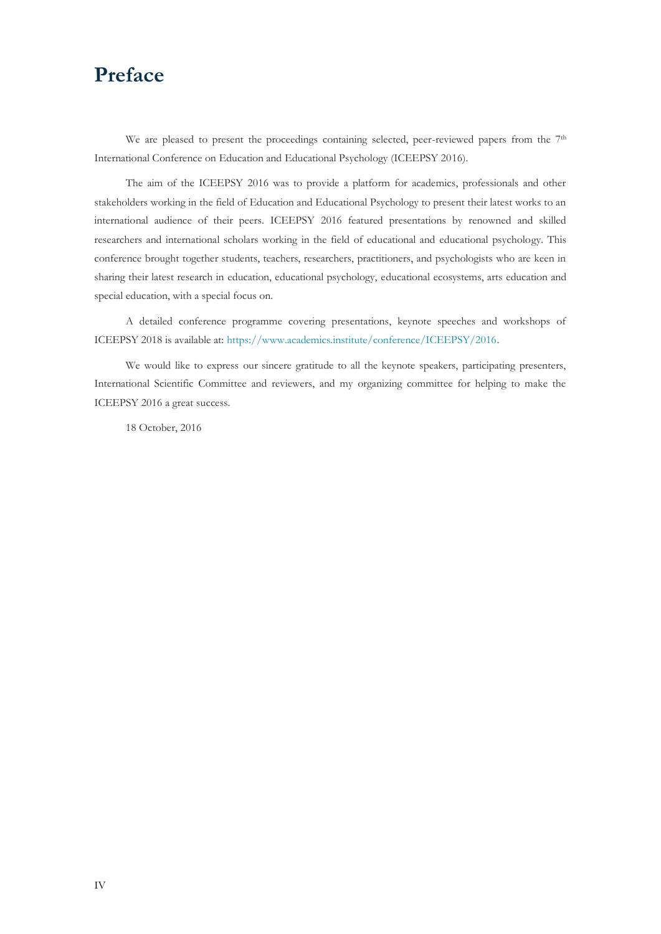## **Preface**

We are pleased to present the proceedings containing selected, peer-reviewed papers from the 7<sup>th</sup> International Conference on Education and Educational Psychology (ICEEPSY 2016).

The aim of the ICEEPSY 2016 was to provide a platform for academics, professionals and other stakeholders working in the field of Education and Educational Psychology to present their latest works to an international audience of their peers. ICEEPSY 2016 featured presentations by renowned and skilled researchers and international scholars working in the field of educational and educational psychology. This conference brought together students, teachers, researchers, practitioners, and psychologists who are keen in sharing their latest research in education, educational psychology, educational ecosystems, arts education and special education, with a special focus on.

A detailed conference programme covering presentations, keynote speeches and workshops of ICEEPSY 2018 is available at: [https://www.academics.institute/conference/ICEEPSY/2016.](https://www.academics.institute/conference/ICEEPSY/2016) 

We would like to express our sincere gratitude to all the keynote speakers, participating presenters, International Scientific Committee and reviewers, and my organizing committee for helping to make the ICEEPSY 2016 a great success.

18 October, 2016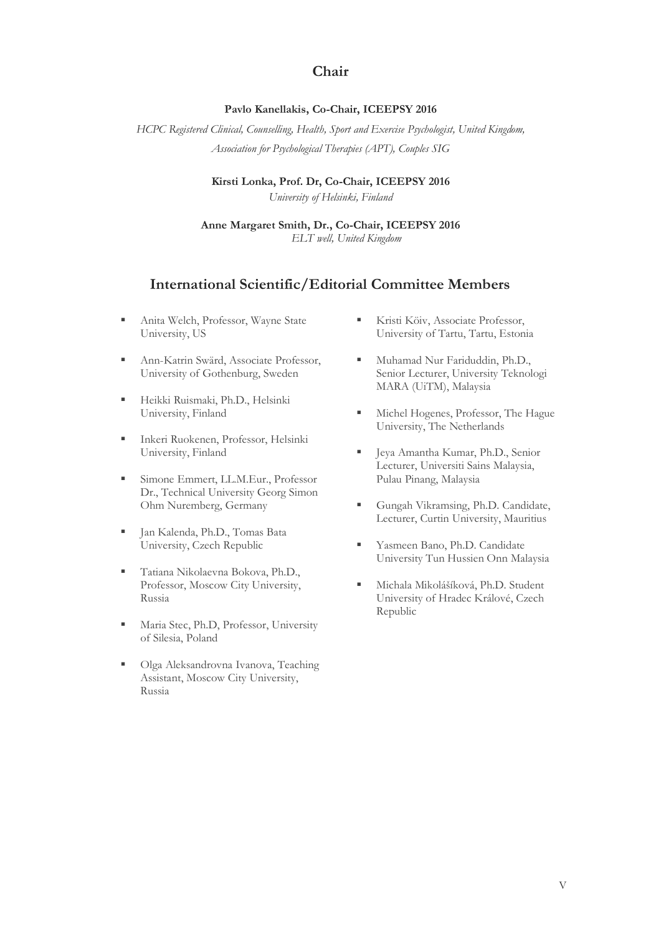### **Chair**

### **Pavlo Kanellakis, Co-Chair, ICEEPSY 2016**

*HCPC Registered Clinical, Counselling, Health, Sport and Exercise Psychologist, United Kingdom, Association for Psychological Therapies (APT), Couples SIG*

> **Kirsti Lonka, Prof. Dr, Co-Chair, ICEEPSY 2016** *University of Helsinki, Finland*

**Anne Margaret Smith, Dr., Co-Chair, ICEEPSY 2016** *ELT well, United Kingdom*

### **International Scientific/Editorial Committee Members**

- **· Anita Welch, Professor, Wayne State** University, US
- **Ann-Katrin Swärd, Associate Professor,** University of Gothenburg, Sweden
- **· Heikki Ruismaki, Ph.D., Helsinki** University, Finland
- **Inkeri Ruokenen, Professor, Helsinki** University, Finland
- **Emmert, LL.M.Eur., Professor** Dr., Technical University Georg Simon Ohm Nuremberg, Germany
- Jan Kalenda, Ph.D., Tomas Bata University, Czech Republic
- Tatiana Nikolaevna Bokova, Ph.D., Professor, Moscow City University, Russia
- **Independent Maria Stec, Ph.D, Professor, University** of Silesia, Poland
- Olga Aleksandrovna Ivanova, Teaching Assistant, Moscow City University, Russia
- **EXTERN FRISTIE KÖNCH** Associate Professor, University of Tartu, Tartu, Estonia
- Muhamad Nur Fariduddin, Ph.D., Senior Lecturer, University Teknologi MARA (UiTM), Malaysia
- **EXECUTE:** Michel Hogenes, Professor, The Hague University, The Netherlands
- Jeya Amantha Kumar, Ph.D., Senior Lecturer, Universiti Sains Malaysia, Pulau Pinang, Malaysia
- Gungah Vikramsing, Ph.D. Candidate, Lecturer, Curtin University, Mauritius
- **EXECUTE:** Yasmeen Bano, Ph.D. Candidate University Tun Hussien Onn Malaysia
- Michala Mikolášíková, Ph.D. Student University of Hradec Králové, Czech Republic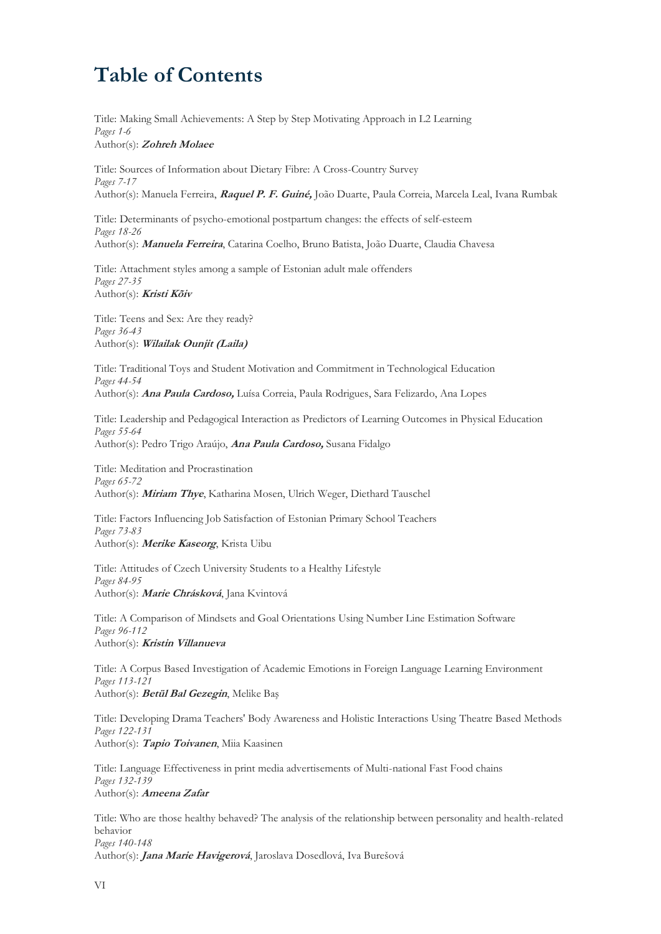# **Table of Contents**

Title: Making Small Achievements: A Step by Step Motivating Approach in L2 Learning *Pages 1-6* Author(s): **Zohreh Molaee**

Title: Sources of Information about Dietary Fibre: A Cross-Country Survey *Pages 7-17* Author(s): Manuela Ferreira, **Raquel P. F. Guiné,** João Duarte, Paula Correia, Marcela Leal, Ivana Rumbak

Title: Determinants of psycho-emotional postpartum changes: the effects of self-esteem *Pages 18-26* Author(s): **Manuela Ferreira**, Catarina Coelho, Bruno Batista, João Duarte, Claudia Chavesa

Title: Attachment styles among a sample of Estonian adult male offenders *Pages 27-35* Author(s): **Kristi Kõiv**

Title: Teens and Sex: Are they ready? *Pages 36-43* Author(s): **Wilailak Ounjit (Laila)** 

Title: Traditional Toys and Student Motivation and Commitment in Technological Education *Pages 44-54* Author(s): **Ana Paula Cardoso,** Luísa Correia, Paula Rodrigues, Sara Felizardo, Ana Lopes

Title: Leadership and Pedagogical Interaction as Predictors of Learning Outcomes in Physical Education *Pages 55-64* Author(s): Pedro Trigo Araújo, **Ana Paula Cardoso,** Susana Fidalgo

Title: Meditation and Procrastination *Pages 65-72* Author(s): **Miriam Thye**, Katharina Mosen, Ulrich Weger, Diethard Tauschel

Title: Factors Influencing Job Satisfaction of Estonian Primary School Teachers *Pages 73-83* Author(s): **Merike Kaseorg**, Krista Uibu

Title: Attitudes of Czech University Students to a Healthy Lifestyle *Pages 84-95* Author(s): **Marie Chrásková**, Jana Kvintová

Title: A Comparison of Mindsets and Goal Orientations Using Number Line Estimation Software *Pages 96-112* Author(s): **Kristin Villanueva**

Title: A Corpus Based Investigation of Academic Emotions in Foreign Language Learning Environment *Pages 113-121* Author(s): **Betül Bal Gezegin**, Melike Baş

Title: Developing Drama Teachers' Body Awareness and Holistic Interactions Using Theatre Based Methods *Pages 122-131* Author(s): **Tapio Toivanen**, Miia Kaasinen

Title: Language Effectiveness in print media advertisements of Multi-national Fast Food chains *Pages 132-139* Author(s): **Ameena Zafar**

Title: Who are those healthy behaved? The analysis of the relationship between personality and health-related behavior *Pages 140-148* Author(s): **Jana Marie Havigerová**, Jaroslava Dosedlová, Iva Burešová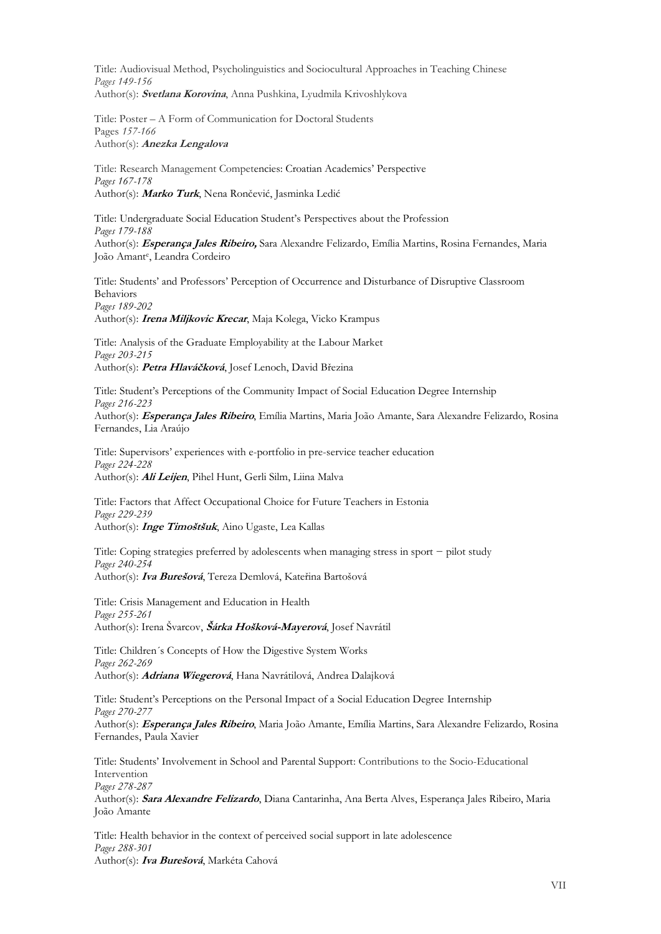Title: Audiovisual Method, Psycholinguistics and Sociocultural Approaches in Teaching Chinese *Pages 149-156* Author(s): **Svetlana Korovina**, Anna Pushkina, Lyudmila Krivoshlykova

Title: Poster – A Form of Communication for Doctoral Students Pages *157-166* Author(s): **Anezka Lengalova**

Title: Research Management Competencies: Croatian Academics' Perspective *Pages 167-178* Author(s): **Marko Turk**, Nena Rončević, Jasminka Ledić

Title: Undergraduate Social Education Student's Perspectives about the Profession *Pages 179-188* Author(s): **Esperança Jales Ribeiro,** Sara Alexandre Felizardo, Emília Martins, Rosina Fernandes, Maria João Amant<sup>e</sup> , Leandra Cordeiro

Title: Students' and Professors' Perception of Occurrence and Disturbance of Disruptive Classroom Behaviors *Pages 189-202* Author(s): **Irena Miljkovic Krecar**, Maja Kolega, Vicko Krampus

Title: Analysis of the Graduate Employability at the Labour Market *Pages 203-215* Author(s): **Petra Hlaváčková**, Josef Lenoch, David Březina

Title: Student's Perceptions of the Community Impact of Social Education Degree Internship *Pages 216-223*

Author(s): **Esperança Jales Ribeiro**, Emília Martins, Maria João Amante, Sara Alexandre Felizardo, Rosina Fernandes, Lia Araújo

Title: Supervisors' experiences with e-portfolio in pre-service teacher education *Pages 224-228* Author(s): **Ali Leijen**, Pihel Hunt, Gerli Silm, Liina Malva

Title: Factors that Affect Occupational Choice for Future Teachers in Estonia *Pages 229-239* Author(s): **Inge Timoštšuk**, Aino Ugaste, Lea Kallas

Title: Coping strategies preferred by adolescents when managing stress in sport − pilot study *Pages 240-254* Author(s): **Iva Burešová**, Tereza Demlová, Kateřina Bartošová

Title: Crisis Management and Education in Health *Pages 255-261* Author(s): Irena Švarcov, **Šárka Hošková-Mayerová**, Josef Navrátil

Title: Children´s Concepts of How the Digestive System Works *Pages 262-269* Author(s): **Adriana Wiegerová**, Hana Navrátilová, Andrea Dalajková

Title: Student's Perceptions on the Personal Impact of a Social Education Degree Internship *Pages 270-277*

Author(s): **Esperança Jales Ribeiro**, Maria João Amante, Emília Martins, Sara Alexandre Felizardo, Rosina Fernandes, Paula Xavier

Title: Students' Involvement in School and Parental Support: Contributions to the Socio-Educational Intervention

*Pages 278-287*

Author(s): **Sara Alexandre Felizardo**, Diana Cantarinha, Ana Berta Alves, Esperança Jales Ribeiro, Maria João Amante

Title: Health behavior in the context of perceived social support in late adolescence *Pages 288-301* Author(s): **Iva Burešová**, Markéta Cahová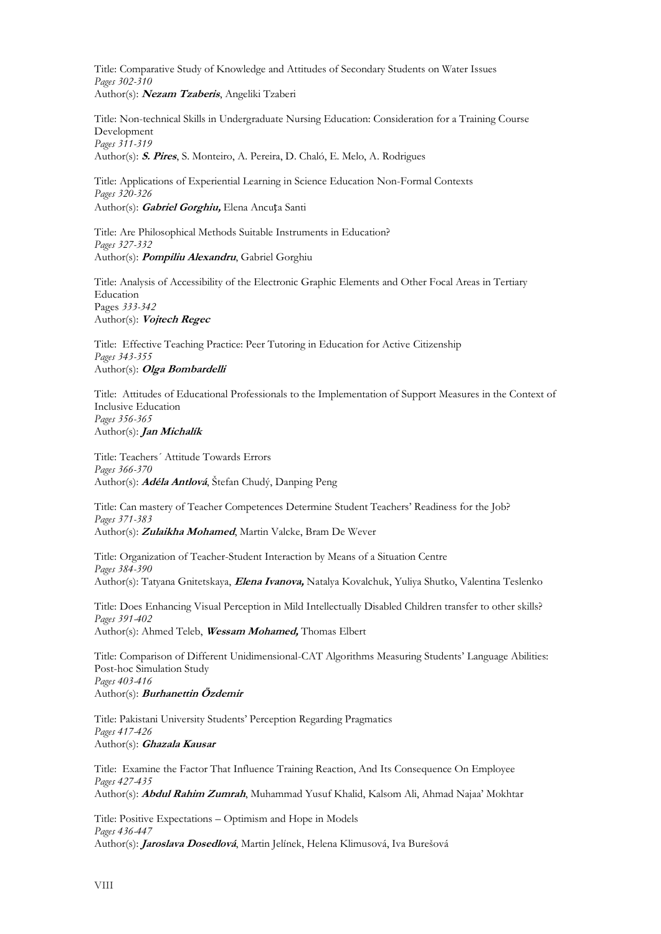Title: Comparative Study of Knowledge and Attitudes of Secondary Students on Water Issues *Pages 302-310* Author(s): **Nezam Tzaberis**, Angeliki Tzaberi

Title: Non-technical Skills in Undergraduate Nursing Education: Consideration for a Training Course Development *Pages 311-319*

Author(s): **S. Pires**, S. Monteiro, A. Pereira, D. Chaló, E. Melo, A. Rodrigues

Title: Applications of Experiential Learning in Science Education Non-Formal Contexts *Pages 320-326* Author(s): **Gabriel Gorghiu,** Elena Ancuța Santi

Title: Are Philosophical Methods Suitable Instruments in Education? *Pages 327-332* Author(s): **Pompiliu Alexandru**, Gabriel Gorghiu

Title: Analysis of Accessibility of the Electronic Graphic Elements and Other Focal Areas in Tertiary Education Pages *333-342* Author(s): **Vojtech Regec**

Title: Effective Teaching Practice: Peer Tutoring in Education for Active Citizenship *Pages 343-355* Author(s): **Olga Bombardelli**

Title: Attitudes of Educational Professionals to the Implementation of Support Measures in the Context of Inclusive Education *Pages 356-365* Author(s): **Jan Michalík**

Title: Teachers´ Attitude Towards Errors *Pages 366-370* Author(s): **Adéla Antlová**, Štefan Chudý, Danping Peng

Title: Can mastery of Teacher Competences Determine Student Teachers' Readiness for the Job? *Pages 371-383* Author(s): **Zulaikha Mohamed**, Martin Valcke, Bram De Wever

Title: Organization of Teacher-Student Interaction by Means of a Situation Centre *Pages 384-390* Author(s): Tatyana Gnitetskaya, **Elena Ivanova,** Natalya Kovalchuk, Yuliya Shutko, Valentina Teslenko

Title: Does Enhancing Visual Perception in Mild Intellectually Disabled Children transfer to other skills? *Pages 391-402* Author(s): Ahmed Teleb, **Wessam Mohamed,** Thomas Elbert

Title: Comparison of Different Unidimensional-CAT Algorithms Measuring Students' Language Abilities: Post-hoc Simulation Study *Pages 403-416*

Author(s): **Burhanettin Özdemir**

Title: Pakistani University Students' Perception Regarding Pragmatics *Pages 417-426* Author(s): **Ghazala Kausar**

Title: Examine the Factor That Influence Training Reaction, And Its Consequence On Employee *Pages 427-435* Author(s): **Abdul Rahim Zumrah**, Muhammad Yusuf Khalid, Kalsom Ali, Ahmad Najaa' Mokhtar

Title: Positive Expectations – Optimism and Hope in Models *Pages 436-447* Author(s): **Jaroslava Dosedlová**, Martin Jelínek, Helena Klimusová, Iva Burešová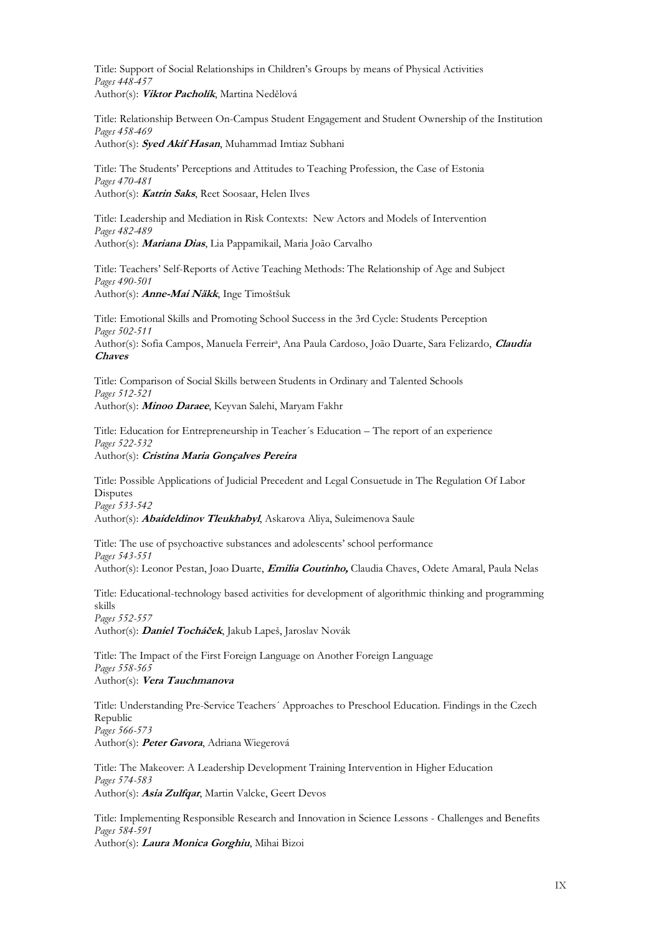Title: Support of Social Relationships in Children's Groups by means of Physical Activities *Pages 448-457* Author(s): **Viktor Pacholík**, Martina Nedělová

Title: Relationship Between On-Campus Student Engagement and Student Ownership of the Institution *Pages 458-469*

Author(s): **Syed Akif Hasan**, Muhammad Imtiaz Subhani

Title: The Students' Perceptions and Attitudes to Teaching Profession, the Case of Estonia *Pages 470-481* Author(s): **Katrin Saks**, Reet Soosaar, Helen Ilves

Title: Leadership and Mediation in Risk Contexts: New Actors and Models of Intervention *Pages 482-489* Author(s): **Mariana Dias**, Lia Pappamikail, Maria João Carvalho

Title: Teachers' Self-Reports of Active Teaching Methods: The Relationship of Age and Subject *Pages 490-501* Author(s): **Anne-Mai Näkk**, Inge Timoštšuk

Title: Emotional Skills and Promoting School Success in the 3rd Cycle: Students Perception *Pages 502-511* Author(s): Sofia Campos, Manuela Ferreir<sup>a</sup>, Ana Paula Cardoso, João Duarte, Sara Felizardo, *Claudia* **Chaves**

Title: Comparison of Social Skills between Students in Ordinary and Talented Schools *Pages 512-521* Author(s): **Minoo Daraee**, Keyvan Salehi, Maryam Fakhr

Title: Education for Entrepreneurship in Teacher´s Education – The report of an experience *Pages 522-532* Author(s): **Cristina Maria Gonçalves Pereira**

Title: Possible Applications of Judicial Precedent and Legal Consuetude in The Regulation Of Labor **Disputes** *Pages 533-542*

Author(s): **Abaideldinov Tleukhabyl**, Askarova Aliya, Suleimenova Saule

Title: The use of psychoactive substances and adolescents' school performance *Pages 543-551* Author(s): Leonor Pestan, Joao Duarte, **Emilia Coutinho,** Claudia Chaves, Odete Amaral, Paula Nelas

Title: Educational-technology based activities for development of algorithmic thinking and programming skills *Pages 552-557*

Author(s): **Daniel Tocháček**, Jakub Lapeš, Jaroslav Novák

Title: The Impact of the First Foreign Language on Another Foreign Language *Pages 558-565* Author(s): **Vera Tauchmanova**

Title: Understanding Pre-Service Teachers´ Approaches to Preschool Education. Findings in the Czech Republic *Pages 566-573* Author(s): **Peter Gavora**, Adriana Wiegerová

Title: The Makeover: A Leadership Development Training Intervention in Higher Education *Pages 574-583* Author(s): **Asia Zulfqar**, Martin Valcke, Geert Devos

Title: Implementing Responsible Research and Innovation in Science Lessons - Challenges and Benefits *Pages 584-591* Author(s): **Laura Monica Gorghiu**, Mihai Bizoi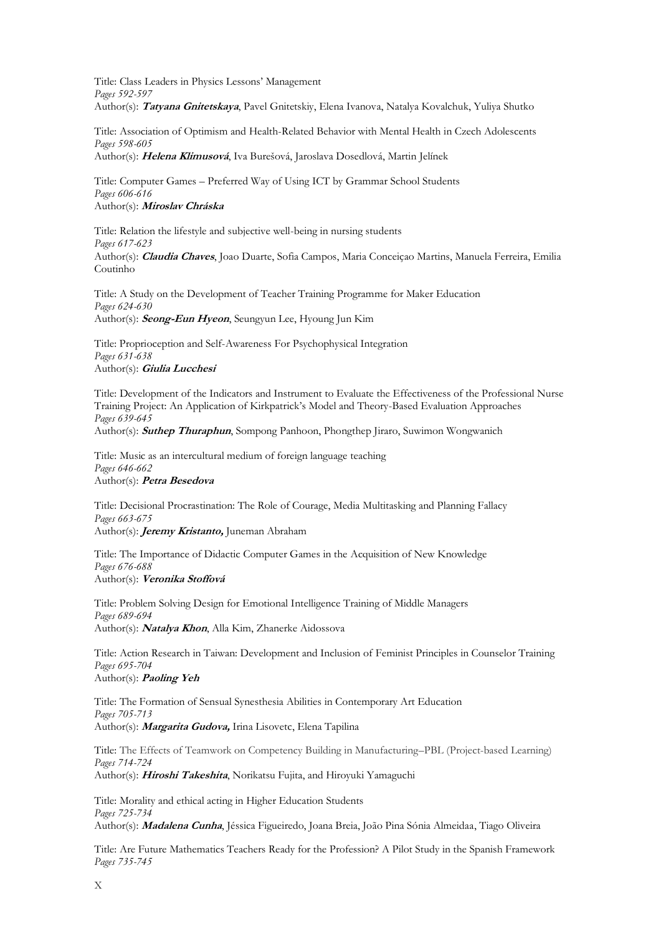Title: Class Leaders in Physics Lessons' Management *Pages 592-597* Author(s): **Tatyana Gnitetskaya**, Pavel Gnitetskiy, Elena Ivanova, Natalya Kovalchuk, Yuliya Shutko

Title: Association of Optimism and Health-Related Behavior with Mental Health in Czech Adolescents *Pages 598-605* Author(s): **Helena Klimusová**, Iva Burešová, Jaroslava Dosedlová, Martin Jelínek

Title: Computer Games – Preferred Way of Using ICT by Grammar School Students *Pages 606-616* Author(s): **Miroslav Chráska**

Title: Relation the lifestyle and subjective well-being in nursing students *Pages 617-623* Author(s): **Claudia Chaves**, Joao Duarte, Sofia Campos, Maria Conceiçao Martins, Manuela Ferreira, Emilia Coutinho

Title: A Study on the Development of Teacher Training Programme for Maker Education *Pages 624-630* Author(s): **Seong-Eun Hyeon**, Seungyun Lee, Hyoung Jun Kim

Title: Proprioception and Self-Awareness For Psychophysical Integration *Pages 631-638* Author(s): **Giulia Lucchesi**

Title: Development of the Indicators and Instrument to Evaluate the Effectiveness of the Professional Nurse Training Project: An Application of Kirkpatrick's Model and Theory-Based Evaluation Approaches *Pages 639-645*

Author(s): **Suthep Thuraphun**, Sompong Panhoon, Phongthep Jiraro, Suwimon Wongwanich

Title: Music as an intercultural medium of foreign language teaching *Pages 646-662* Author(s): **Petra Besedova**

Title: Decisional Procrastination: The Role of Courage, Media Multitasking and Planning Fallacy *Pages 663-675* Author(s): **Jeremy Kristanto,** Juneman Abraham

Title: The Importance of Didactic Computer Games in the Acquisition of New Knowledge *Pages 676-688* Author(s): **Veronika Stoffová**

Title: Problem Solving Design for Emotional Intelligence Training of Middle Managers *Pages 689-694* Author(s): **Natalya Khon**, Alla Kim, Zhanerke Aidossova

Title: Action Research in Taiwan: Development and Inclusion of Feminist Principles in Counselor Training *Pages 695-704* Author(s): **Paoling Yeh**

Title: The Formation of Sensual Synesthesia Abilities in Contemporary Art Education *Pages 705-713* Author(s): **Margarita Gudova,** Irina Lisovetc, Elena Tapilina

Title: The Effects of Teamwork on Competency Building in Manufacturing–PBL (Project-based Learning) *Pages 714-724*

Author(s): **Hiroshi Takeshita**, Norikatsu Fujita, and Hiroyuki Yamaguchi

Title: Morality and ethical acting in Higher Education Students *Pages 725-734* Author(s): **Madalena Cunha**, Jéssica Figueiredo, Joana Breia, João Pina Sónia Almeidaa, Tiago Oliveira

Title: Are Future Mathematics Teachers Ready for the Profession? A Pilot Study in the Spanish Framework *Pages 735-745*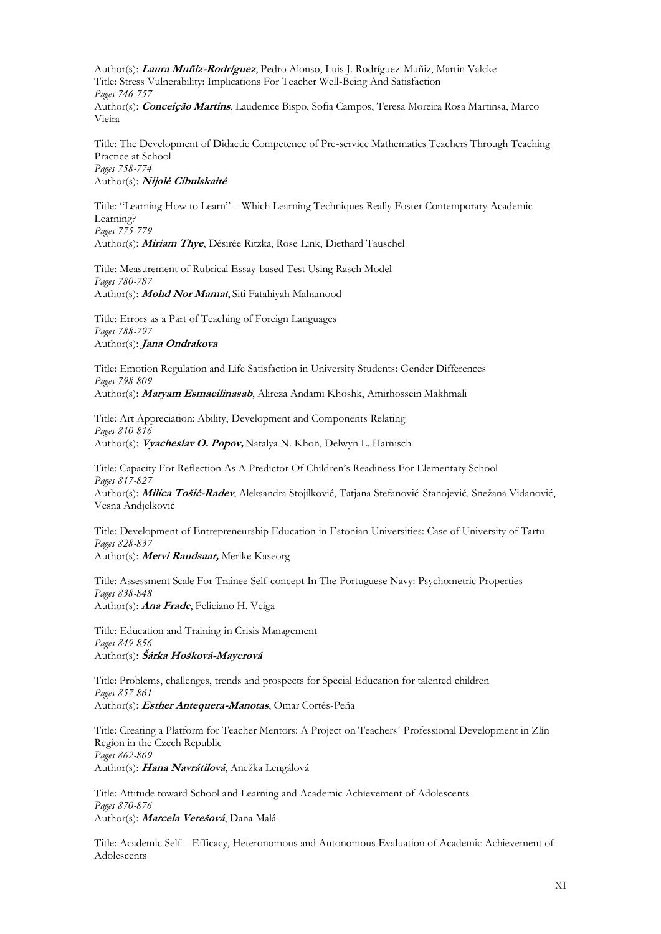Author(s): **Laura Muñiz-Rodríguez**, Pedro Alonso, Luis J. Rodríguez-Muñiz, Martin Valcke Title: Stress Vulnerability: Implications For Teacher Well-Being And Satisfaction *Pages 746-757* Author(s): **Conceição Martins**, Laudenice Bispo, Sofia Campos, Teresa Moreira Rosa Martinsa, Marco Vieira

Title: The Development of Didactic Competence of Pre-service Mathematics Teachers Through Teaching Practice at School *Pages 758-774* Author(s): **Nijolė Cibulskaitė**

Title: "Learning How to Learn" – Which Learning Techniques Really Foster Contemporary Academic Learning? *Pages 775-779* Author(s): **Miriam Thye**, Désirée Ritzka, Rose Link, Diethard Tauschel

Title: Measurement of Rubrical Essay-based Test Using Rasch Model *Pages 780-787* Author(s): **Mohd Nor Mamat**, Siti Fatahiyah Mahamood

Title: Errors as a Part of Teaching of Foreign Languages *Pages 788-797* Author(s): **Jana Ondrakova**

Title: Emotion Regulation and Life Satisfaction in University Students: Gender Differences *Pages 798-809* Author(s): **Maryam Esmaeilinasab**, Alireza Andami Khoshk, Amirhossein Makhmali

Title: Art Appreciation: Ability, Development and Components Relating *Pages 810-816* Author(s): **Vyacheslav O. Popov,** Natalya N. Khon, Delwyn L. Harnisch

Title: Capacity For Reflection As A Predictor Of Children's Readiness For Elementary School *Pages 817-827*

Author(s): **Milica Tošić-Radev**, Aleksandra Stojilković, Tatjana Stefanović-Stanojević, Snežana Vidanović, Vesna Andjelković

Title: Development of Entrepreneurship Education in Estonian Universities: Case of University of Tartu *Pages 828-837* Author(s): **Mervi Raudsaar,** Merike Kaseorg

Title: Assessment Scale For Trainee Self-concept In The Portuguese Navy: Psychometric Properties *Pages 838-848* Author(s): **Ana Frade**, Feliciano H. Veiga

Title: Education and Training in Crisis Management *Pages 849-856* Author(s): **Šárka Hošková-Mayerová**

Title: Problems, challenges, trends and prospects for Special Education for talented children *Pages 857-861* Author(s): **Esther Antequera-Manotas**, Omar Cortés-Peña

Title: Creating a Platform for Teacher Mentors: A Project on Teachers´ Professional Development in Zlín Region in the Czech Republic *Pages 862-869* Author(s): **Hana Navrátilová**, Anežka Lengálová

Title: Attitude toward School and Learning and Academic Achievement of Adolescents *Pages 870-876* Author(s): **Marcela Verešová**, Dana Malá

Title: Academic Self – Efficacy, Heteronomous and Autonomous Evaluation of Academic Achievement of Adolescents